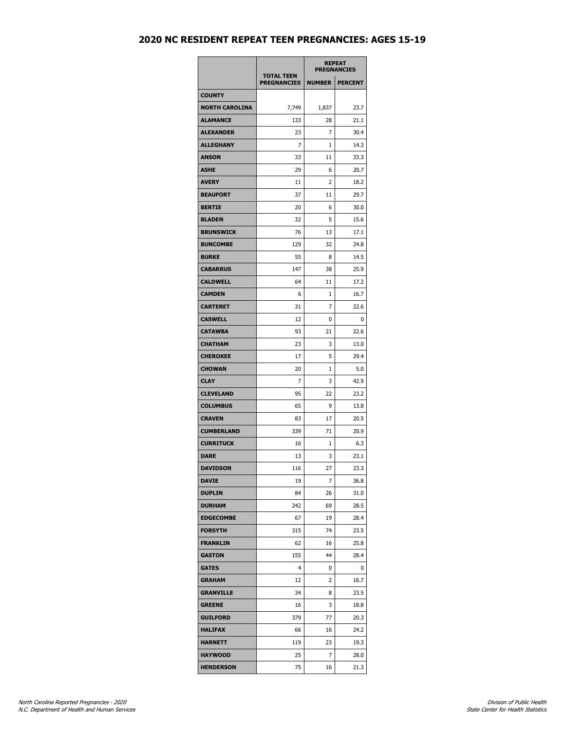## **2020 NC RESIDENT REPEAT TEEN PREGNANCIES: AGES 15-19**

|                       | <b>TOTAL TEEN</b>  | <b>REPEAT</b><br><b>PREGNANCIES</b> |                |
|-----------------------|--------------------|-------------------------------------|----------------|
|                       | <b>PREGNANCIES</b> | <b>NUMBER</b>                       | <b>PERCENT</b> |
| <b>COUNTY</b>         |                    |                                     |                |
| <b>NORTH CAROLINA</b> | 7,749              | 1,837                               | 23.7           |
| <b>ALAMANCE</b>       | 133                | 28                                  | 21.1           |
| <b>ALEXANDER</b>      | 23                 | 7                                   | 30.4           |
| <b>ALLEGHANY</b>      | 7                  | 1                                   | 14.3           |
| <b>ANSON</b>          | 33                 | 11                                  | 33.3           |
| ASHE                  | 29                 | 6                                   | 20.7           |
| <b>AVERY</b>          | 11                 | 2                                   | 18.2           |
| <b>BEAUFORT</b>       | 37                 | 11                                  | 29.7           |
| <b>BERTIE</b>         | 20                 | 6                                   | 30.0           |
| <b>BLADEN</b>         | 32                 | 5                                   | 15.6           |
| <b>BRUNSWICK</b>      | 76                 | 13                                  | 17.1           |
| <b>BUNCOMBE</b>       | 129                | 32                                  | 24.8           |
| <b>BURKE</b>          | 55                 | 8                                   | 14.5           |
| <b>CABARRUS</b>       | 147                | 38                                  | 25.9           |
| <b>CALDWELL</b>       | 64                 | 11                                  | 17.2           |
| <b>CAMDEN</b>         | 6                  | 1                                   | 16.7           |
| <b>CARTERET</b>       | 31                 | 7                                   | 22.6           |
| <b>CASWELL</b>        | 12                 | 0                                   | 0              |
| <b>CATAWBA</b>        | 93                 | 21                                  | 22.6           |
| <b>CHATHAM</b>        | 23                 | 3                                   | 13.0           |
| <b>CHEROKEE</b>       | 17                 | 5                                   | 29.4           |
| <b>CHOWAN</b>         | 20                 | 1                                   | 5.0            |
| <b>CLAY</b>           | 7                  | 3                                   | 42.9           |
| <b>CLEVELAND</b>      | 95                 | 22                                  | 23.2           |
| <b>COLUMBUS</b>       | 65                 | 9                                   | 13.8           |
| <b>CRAVEN</b>         | 83                 | 17                                  | 20.5           |
| <b>CUMBERLAND</b>     | 339                | 71                                  | 20.9           |
| <b>CURRITUCK</b>      | 16                 | 1                                   | 6.3            |
| <b>DARE</b>           | 13                 | 3                                   | 23.1           |
| <b>DAVIDSON</b>       | 116                | 27                                  | 23.3           |
| <b>DAVIE</b>          | 19                 | 7                                   | 36.8           |
| <b>DUPLIN</b>         | 84                 | 26                                  | 31.0           |
| <b>DURHAM</b>         | 242                | 69                                  | 28.5           |
| <b>EDGECOMBE</b>      | 67                 | 19                                  | 28.4           |
| <b>FORSYTH</b>        | 315                | 74                                  | 23.5           |
| <b>FRANKLIN</b>       | 62                 | 16                                  | 25.8           |
| <b>GASTON</b>         | 155                | 44                                  | 28.4           |
| <b>GATES</b>          | 4                  | 0                                   | 0              |
| <b>GRAHAM</b>         | 12                 | 2                                   | 16.7           |
| <b>GRANVILLE</b>      | 34                 | 8                                   | 23.5           |
| <b>GREENE</b>         | 16                 | 3                                   | 18.8           |
| <b>GUILFORD</b>       | 379                | 77                                  | 20.3           |
| <b>HALIFAX</b>        | 66                 | 16                                  | 24.2           |
| <b>HARNETT</b>        | 119                | 23                                  | 19.3           |
| <b>HAYWOOD</b>        | 25                 | 7                                   | 28.0           |
| <b>HENDERSON</b>      | 75                 | 16                                  | 21.3           |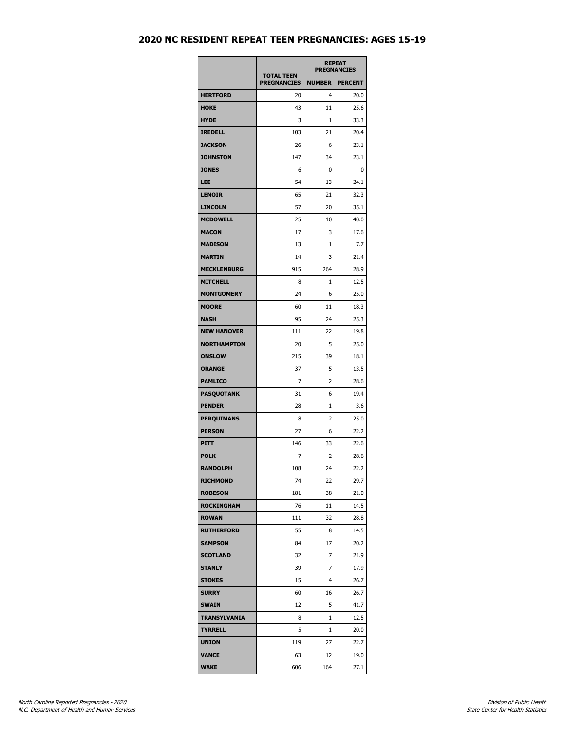## **2020 NC RESIDENT REPEAT TEEN PREGNANCIES: AGES 15-19**

|                     |                                         | <b>REPEAT</b><br><b>PREGNANCIES</b> |                |
|---------------------|-----------------------------------------|-------------------------------------|----------------|
|                     | <b>TOTAL TEEN</b><br><b>PREGNANCIES</b> | <b>NUMBER</b>                       | <b>PERCENT</b> |
| <b>HERTFORD</b>     | 20                                      | 4                                   | 20.0           |
| <b>HOKE</b>         | 43                                      | 11                                  | 25.6           |
| <b>HYDE</b>         | 3                                       | 1                                   | 33.3           |
| <b>IREDELL</b>      | 103                                     | 21                                  | 20.4           |
| <b>JACKSON</b>      | 26                                      | 6                                   | 23.1           |
| <b>JOHNSTON</b>     | 147                                     | 34                                  | 23.1           |
| <b>JONES</b>        | 6                                       | 0                                   | 0              |
| LEE                 | 54                                      | 13                                  | 24.1           |
| <b>LENOIR</b>       | 65                                      | 21                                  | 32.3           |
| <b>LINCOLN</b>      | 57                                      | 20                                  | 35.1           |
| <b>MCDOWELL</b>     | 25                                      | 10                                  | 40.0           |
| <b>MACON</b>        | 17                                      | 3                                   | 17.6           |
| <b>MADISON</b>      | 13                                      | 1                                   | 7.7            |
| <b>MARTIN</b>       | 14                                      | 3                                   | 21.4           |
| <b>MECKLENBURG</b>  | 915                                     | 264                                 | 28.9           |
| <b>MITCHELL</b>     | 8                                       | 1                                   | 12.5           |
| <b>MONTGOMERY</b>   | 24                                      | 6                                   | 25.0           |
| <b>MOORE</b>        | 60                                      | 11                                  | 18.3           |
| <b>NASH</b>         | 95                                      | 24                                  | 25.3           |
| <b>NEW HANOVER</b>  | 111                                     | 22                                  | 19.8           |
| <b>NORTHAMPTON</b>  | 20                                      | 5                                   | 25.0           |
| <b>ONSLOW</b>       | 215                                     | 39                                  | 18.1           |
| <b>ORANGE</b>       | 37                                      | 5                                   | 13.5           |
| <b>PAMLICO</b>      | 7                                       | 2                                   | 28.6           |
| <b>PASQUOTANK</b>   | 31                                      | 6                                   | 19.4           |
| <b>PENDER</b>       | 28                                      | 1                                   | 3.6            |
| <b>PERQUIMANS</b>   | 8                                       | 2                                   | 25.0           |
| <b>PERSON</b>       | 27                                      | 6                                   | 22.2           |
| PITT                | 146                                     | 33                                  | 22.6           |
| <b>POLK</b>         | 7                                       | 2                                   | 28.6           |
| <b>RANDOLPH</b>     | 108                                     | 24                                  | 22.2           |
| <b>RICHMOND</b>     | 74                                      | 22                                  | 29.7           |
| <b>ROBESON</b>      | 181                                     | 38                                  | 21.0           |
| <b>ROCKINGHAM</b>   | 76                                      | 11                                  | 14.5           |
| <b>ROWAN</b>        | 111                                     | 32                                  | 28.8           |
| <b>RUTHERFORD</b>   | 55                                      | 8                                   | 14.5           |
| <b>SAMPSON</b>      | 84                                      | 17                                  | 20.2           |
| <b>SCOTLAND</b>     | 32                                      | 7                                   | 21.9           |
| <b>STANLY</b>       | 39                                      | 7                                   | 17.9           |
| STOKES              | 15                                      | 4                                   | 26.7           |
| <b>SURRY</b>        | 60                                      | 16                                  | 26.7           |
| SWAIN               | 12                                      | 5                                   | 41.7           |
|                     |                                         |                                     |                |
| <b>TRANSYLVANIA</b> | 8                                       | 1                                   | 12.5           |
| <b>TYRRELL</b>      | 5                                       | 1                                   | 20.0           |
| <b>UNION</b>        | 119                                     | 27                                  | 22.7           |
| VANCE               | 63                                      | 12                                  | 19.0           |
| <b>WAKE</b>         | 606                                     | 164                                 | 27.1           |